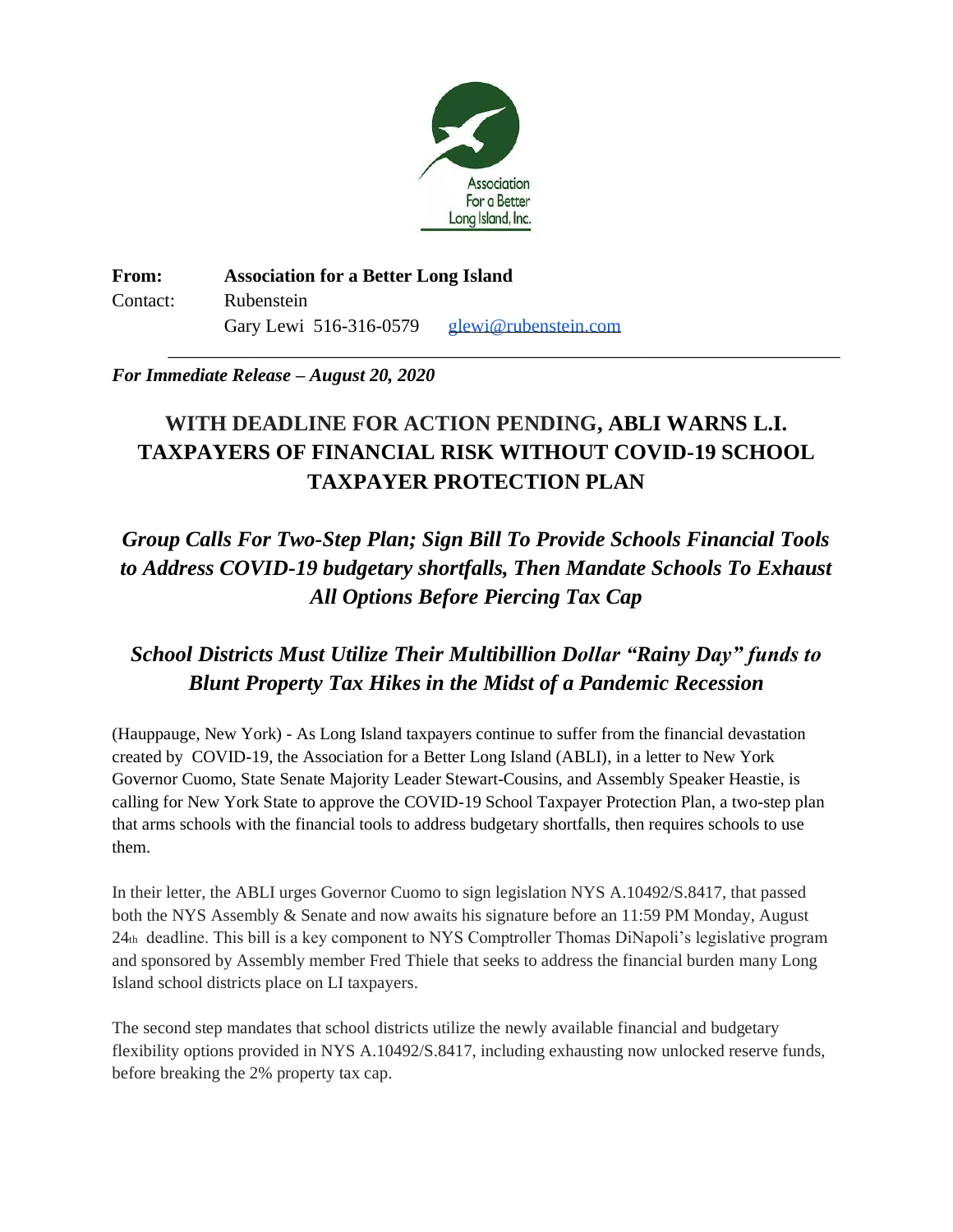

**From: Association for a Better Long Island** Contact: Rubenstein Gary Lewi 516-316-0579 [glewi@rubenstein.com](mailto:glewi@rubenstein.com)

## *For Immediate Release – August 20, 2020*

# **WITH DEADLINE FOR ACTION PENDING, ABLI WARNS L.I. TAXPAYERS OF FINANCIAL RISK WITHOUT COVID-19 SCHOOL TAXPAYER PROTECTION PLAN**

\_\_\_\_\_\_\_\_\_\_\_\_\_\_\_\_\_\_\_\_\_\_\_\_\_\_\_\_\_\_\_\_\_\_\_\_\_\_\_\_\_\_\_\_\_\_\_\_\_\_\_\_\_\_\_\_\_\_\_\_\_\_\_\_\_\_\_\_\_\_\_\_

*Group Calls For Two-Step Plan; Sign Bill To Provide Schools Financial Tools to Address COVID-19 budgetary shortfalls, Then Mandate Schools To Exhaust All Options Before Piercing Tax Cap*

# *School Districts Must Utilize Their Multibillion Dollar "Rainy Day" funds to Blunt Property Tax Hikes in the Midst of a Pandemic Recession*

(Hauppauge, New York) - As Long Island taxpayers continue to suffer from the financial devastation created by COVID-19, the Association for a Better Long Island (ABLI), in a letter to New York Governor Cuomo, State Senate Majority Leader Stewart-Cousins, and Assembly Speaker Heastie, is calling for New York State to approve the COVID-19 School Taxpayer Protection Plan, a two-step plan that arms schools with the financial tools to address budgetary shortfalls, then requires schools to use them.

In their letter, the ABLI urges Governor Cuomo to sign legislation NYS A.10492/S.8417, that passed both the NYS Assembly & Senate and now awaits his signature before an 11:59 PM Monday, August 24th deadline. This bill is a key component to NYS Comptroller Thomas DiNapoli's legislative program and sponsored by Assembly member Fred Thiele that seeks to address the financial burden many Long Island school districts place on LI taxpayers.

The second step mandates that school districts utilize the newly available financial and budgetary flexibility options provided in NYS A.10492/S.8417, including exhausting now unlocked reserve funds, before breaking the 2% property tax cap.